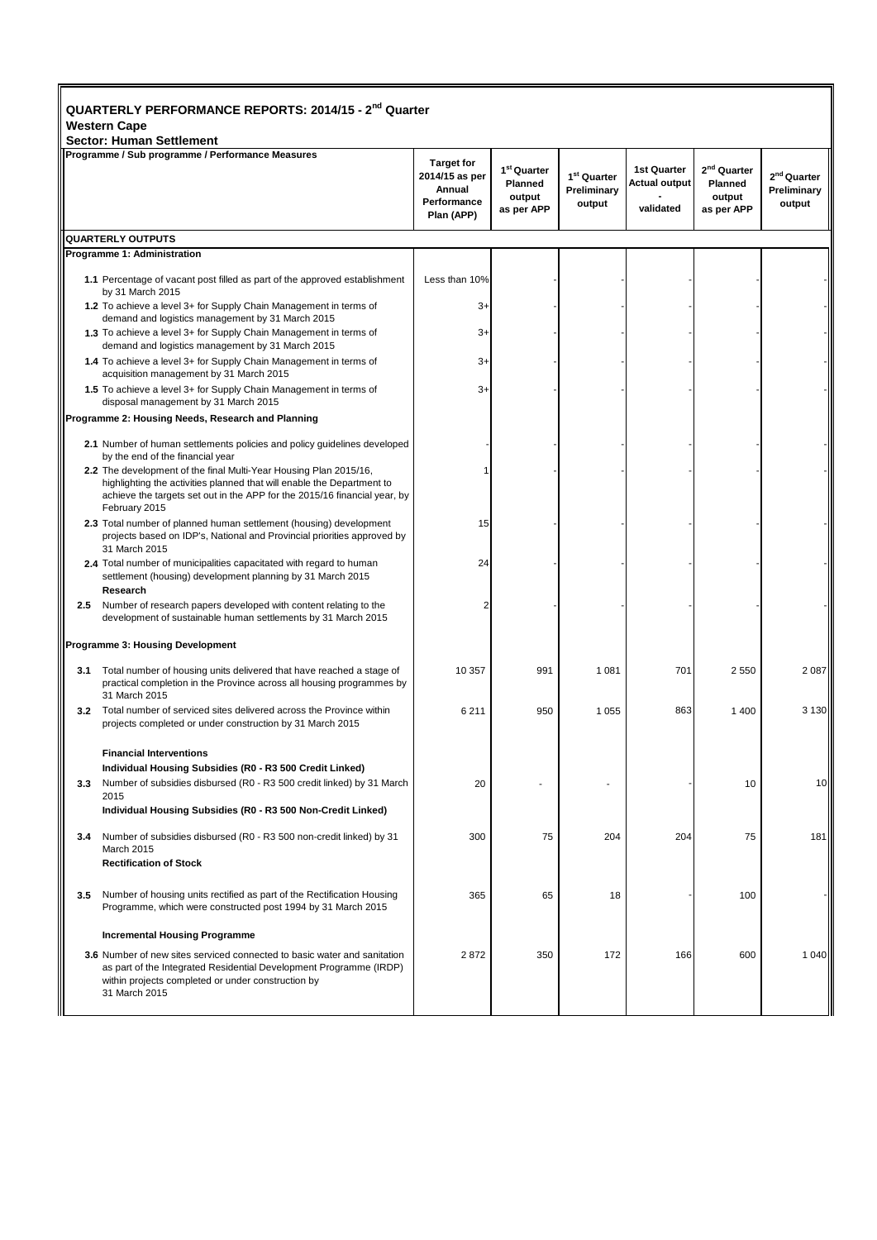| QUARTERLY PERFORMANCE REPORTS: 2014/15 - 2 <sup>nd</sup> Quarter |
|------------------------------------------------------------------|
| <b>Western Cape</b>                                              |

| <b>Sector: Human Settlement</b>         |                                                                                                                                                                                                                                           |                                                                            |                                                            |                                                  |                                                         |                                                            |                                                  |  |  |
|-----------------------------------------|-------------------------------------------------------------------------------------------------------------------------------------------------------------------------------------------------------------------------------------------|----------------------------------------------------------------------------|------------------------------------------------------------|--------------------------------------------------|---------------------------------------------------------|------------------------------------------------------------|--------------------------------------------------|--|--|
|                                         | Programme / Sub programme / Performance Measures                                                                                                                                                                                          | <b>Target for</b><br>2014/15 as per<br>Annual<br>Performance<br>Plan (APP) | 1 <sup>st</sup> Quarter<br>Planned<br>output<br>as per APP | 1 <sup>st</sup> Quarter<br>Preliminary<br>output | <b>1st Quarter</b><br><b>Actual output</b><br>validated | 2 <sup>nd</sup> Quarter<br>Planned<br>output<br>as per APP | 2 <sup>nd</sup> Quarter<br>Preliminary<br>output |  |  |
|                                         | <b>QUARTERLY OUTPUTS</b>                                                                                                                                                                                                                  |                                                                            |                                                            |                                                  |                                                         |                                                            |                                                  |  |  |
|                                         | Programme 1: Administration                                                                                                                                                                                                               |                                                                            |                                                            |                                                  |                                                         |                                                            |                                                  |  |  |
|                                         | 1.1 Percentage of vacant post filled as part of the approved establishment<br>by 31 March 2015                                                                                                                                            | Less than 10%                                                              |                                                            |                                                  |                                                         |                                                            |                                                  |  |  |
|                                         | 1.2 To achieve a level 3+ for Supply Chain Management in terms of<br>demand and logistics management by 31 March 2015                                                                                                                     | 3+                                                                         |                                                            |                                                  |                                                         |                                                            |                                                  |  |  |
|                                         | 1.3 To achieve a level 3+ for Supply Chain Management in terms of<br>demand and logistics management by 31 March 2015                                                                                                                     | 3+                                                                         |                                                            |                                                  |                                                         |                                                            |                                                  |  |  |
|                                         | 1.4 To achieve a level 3+ for Supply Chain Management in terms of<br>acquisition management by 31 March 2015                                                                                                                              | $3+$                                                                       |                                                            |                                                  |                                                         |                                                            |                                                  |  |  |
|                                         | 1.5 To achieve a level 3+ for Supply Chain Management in terms of<br>disposal management by 31 March 2015                                                                                                                                 | $3+$                                                                       |                                                            |                                                  |                                                         |                                                            |                                                  |  |  |
|                                         | Programme 2: Housing Needs, Research and Planning                                                                                                                                                                                         |                                                                            |                                                            |                                                  |                                                         |                                                            |                                                  |  |  |
|                                         | 2.1 Number of human settlements policies and policy guidelines developed<br>by the end of the financial year                                                                                                                              |                                                                            |                                                            |                                                  |                                                         |                                                            |                                                  |  |  |
|                                         | 2.2 The development of the final Multi-Year Housing Plan 2015/16,<br>highlighting the activities planned that will enable the Department to<br>achieve the targets set out in the APP for the 2015/16 financial year, by<br>February 2015 |                                                                            |                                                            |                                                  |                                                         |                                                            |                                                  |  |  |
|                                         | 2.3 Total number of planned human settlement (housing) development<br>projects based on IDP's, National and Provincial priorities approved by<br>31 March 2015                                                                            | 15                                                                         |                                                            |                                                  |                                                         |                                                            |                                                  |  |  |
|                                         | 2.4 Total number of municipalities capacitated with regard to human<br>settlement (housing) development planning by 31 March 2015<br>Research                                                                                             | 24                                                                         |                                                            |                                                  |                                                         |                                                            |                                                  |  |  |
|                                         | 2.5 Number of research papers developed with content relating to the<br>development of sustainable human settlements by 31 March 2015                                                                                                     | 2                                                                          |                                                            |                                                  |                                                         |                                                            |                                                  |  |  |
| <b>Programme 3: Housing Development</b> |                                                                                                                                                                                                                                           |                                                                            |                                                            |                                                  |                                                         |                                                            |                                                  |  |  |
| 3.1                                     | Total number of housing units delivered that have reached a stage of<br>practical completion in the Province across all housing programmes by<br>31 March 2015                                                                            | 10 357                                                                     | 991                                                        | 1 0 8 1                                          | 701                                                     | 2550                                                       | 2087                                             |  |  |
|                                         | 3.2 Total number of serviced sites delivered across the Province within<br>projects completed or under construction by 31 March 2015                                                                                                      | 6211                                                                       | 950                                                        | 1 0 5 5                                          | 863                                                     | 1 4 0 0                                                    | 3 1 3 0                                          |  |  |
|                                         | <b>Financial Interventions</b>                                                                                                                                                                                                            |                                                                            |                                                            |                                                  |                                                         |                                                            |                                                  |  |  |
| 3.3                                     | Individual Housing Subsidies (R0 - R3 500 Credit Linked)<br>Number of subsidies disbursed (R0 - R3 500 credit linked) by 31 March                                                                                                         | 20                                                                         |                                                            |                                                  |                                                         | 10                                                         | 10                                               |  |  |
|                                         | 2015<br>Individual Housing Subsidies (R0 - R3 500 Non-Credit Linked)                                                                                                                                                                      |                                                                            |                                                            |                                                  |                                                         |                                                            |                                                  |  |  |
| 3.4                                     | Number of subsidies disbursed (R0 - R3 500 non-credit linked) by 31<br><b>March 2015</b>                                                                                                                                                  | 300                                                                        | 75                                                         | 204                                              | 204                                                     | 75                                                         | 181                                              |  |  |
|                                         | <b>Rectification of Stock</b>                                                                                                                                                                                                             |                                                                            |                                                            |                                                  |                                                         |                                                            |                                                  |  |  |
| 3.5                                     | Number of housing units rectified as part of the Rectification Housing<br>Programme, which were constructed post 1994 by 31 March 2015                                                                                                    | 365                                                                        | 65                                                         | 18                                               |                                                         | 100                                                        |                                                  |  |  |
|                                         | <b>Incremental Housing Programme</b>                                                                                                                                                                                                      |                                                                            |                                                            |                                                  |                                                         |                                                            |                                                  |  |  |
|                                         | <b>3.6</b> Number of new sites serviced connected to basic water and sanitation<br>as part of the Integrated Residential Development Programme (IRDP)<br>within projects completed or under construction by<br>31 March 2015              | 2872                                                                       | 350                                                        | 172                                              | 166                                                     | 600                                                        | 1 0 4 0                                          |  |  |